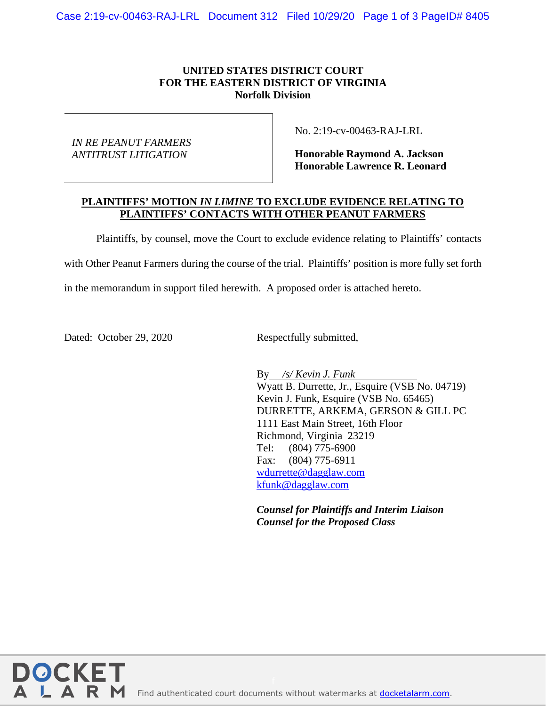## **UNITED STATES DISTRICT COURT FOR THE EASTERN DISTRICT OF VIRGINIA Norfolk Division**

*IN RE PEANUT FARMERS ANTITRUST LITIGATION*

No. 2:19-cv-00463-RAJ-LRL

**Honorable Raymond A. Jackson Honorable Lawrence R. Leonard**

## **PLAINTIFFS' MOTION** *IN LIMINE* **TO EXCLUDE EVIDENCE RELATING TO PLAINTIFFS' CONTACTS WITH OTHER PEANUT FARMERS**

Plaintiffs, by counsel, move the Court to exclude evidence relating to Plaintiffs' contacts

with Other Peanut Farmers during the course of the trial. Plaintiffs' position is more fully set forth

in the memorandum in support filed herewith. A proposed order is attached hereto.

Dated: October 29, 2020 Respectfully submitted,

**DOCKE** 

A R M

By */s/ Kevin J. Funk* Wyatt B. Durrette, Jr., Esquire (VSB No. 04719) Kevin J. Funk, Esquire (VSB No. 65465) DURRETTE, ARKEMA, GERSON & GILL PC 1111 East Main Street, 16th Floor Richmond, Virginia 23219 Tel: (804) 775-6900 Fax: (804) 775-6911 [wdurrette@dagglaw.com](mailto:wdurrette@dagglaw.com) [kfunk@dagglaw.com](mailto:kfunk@dagglaw.com)

*Counsel for Plaintiffs and Interim Liaison Counsel for the Proposed Class*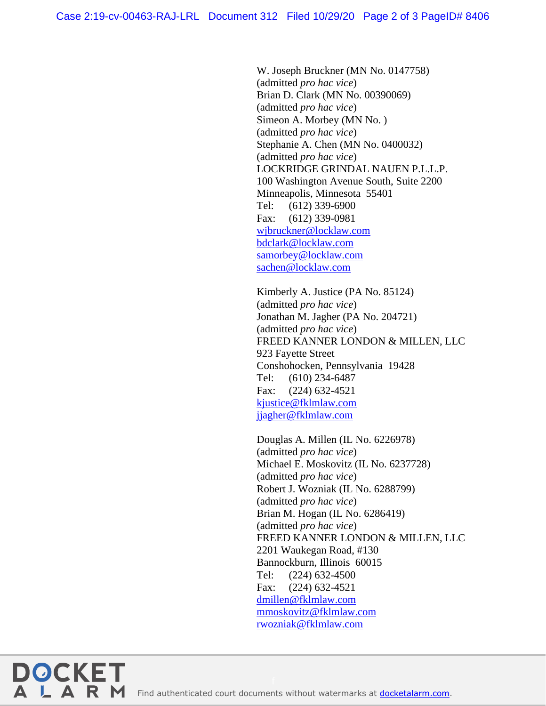W. Joseph Bruckner (MN No. 0147758) (admitted *pro hac vice*) Brian D. Clark (MN No. 00390069) (admitted *pro hac vice*) Simeon A. Morbey (MN No. ) (admitted *pro hac vice*) Stephanie A. Chen (MN No. 0400032) (admitted *pro hac vice*) LOCKRIDGE GRINDAL NAUEN P.L.L.P. 100 Washington Avenue South, Suite 2200 Minneapolis, Minnesota 55401 Tel: (612) 339-6900 Fax: (612) 339-0981 [wjbruckner@locklaw.com](mailto:wjbruckner@locklaw.com) [bdclark@locklaw.com](mailto:bdclark@locklaw.com) [samorbey@locklaw.com](mailto:samorbey@locklaw.com) [sachen@locklaw.com](mailto:sachen@locklaw.com)

Kimberly A. Justice (PA No. 85124) (admitted *pro hac vice*) Jonathan M. Jagher (PA No. 204721) (admitted *pro hac vice*) FREED KANNER LONDON & MILLEN, LLC 923 Fayette Street Conshohocken, Pennsylvania 19428 Tel: (610) 234-6487 Fax: (224) 632-4521 [kjustice@fklmlaw.com](mailto:kjustice@fklmlaw.com) [jjagher@fklmlaw.com](mailto:jjagher@fklmlaw.com)

Douglas A. Millen (IL No. 6226978) (admitted *pro hac vice*) Michael E. Moskovitz (IL No. 6237728) (admitted *pro hac vice*) Robert J. Wozniak (IL No. 6288799) (admitted *pro hac vice*) Brian M. Hogan (IL No. 6286419) (admitted *pro hac vice*) FREED KANNER LONDON & MILLEN, LLC 2201 Waukegan Road, #130 Bannockburn, Illinois 60015 Tel: (224) 632-4500 Fax: (224) 632-4521 [dmillen@fklmlaw.com](mailto:dmillen@fklmlaw.com) [mmoskovitz@fklmlaw.com](mailto:mmoskovitz@fklmlaw.com) [rwozniak@fklmlaw.com](mailto:rwozniak@fklmlaw.com)